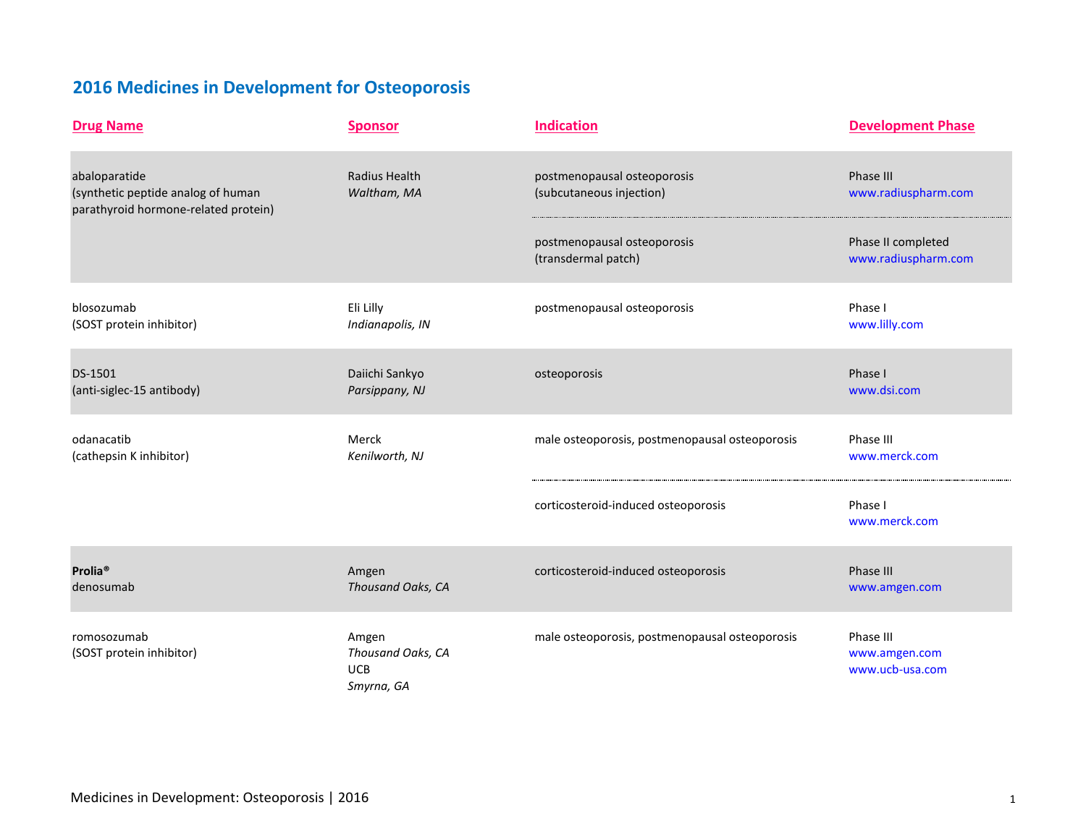## **2016 Medicines in Development for Osteoporosis**

| <b>Drug Name</b>                                                                            | <b>Sponsor</b>                                  | <b>Indication</b>                                       | <b>Development Phase</b>                      |
|---------------------------------------------------------------------------------------------|-------------------------------------------------|---------------------------------------------------------|-----------------------------------------------|
| abaloparatide<br>(synthetic peptide analog of human<br>parathyroid hormone-related protein) | Radius Health<br>Waltham, MA                    | postmenopausal osteoporosis<br>(subcutaneous injection) | Phase III<br>www.radiuspharm.com              |
|                                                                                             |                                                 | postmenopausal osteoporosis<br>(transdermal patch)      | Phase II completed<br>www.radiuspharm.com     |
| blosozumab<br>(SOST protein inhibitor)                                                      | Eli Lilly<br>Indianapolis, IN                   | postmenopausal osteoporosis                             | Phase I<br>www.lilly.com                      |
| DS-1501<br>(anti-siglec-15 antibody)                                                        | Daiichi Sankyo<br>Parsippany, NJ                | osteoporosis                                            | Phase I<br>www.dsi.com                        |
| odanacatib<br>(cathepsin K inhibitor)                                                       | Merck<br>Kenilworth, NJ                         | male osteoporosis, postmenopausal osteoporosis          | Phase III<br>www.merck.com                    |
|                                                                                             |                                                 | corticosteroid-induced osteoporosis                     | Phase I<br>www.merck.com                      |
| Prolia <sup>®</sup><br>denosumab                                                            | Amgen<br>Thousand Oaks, CA                      | corticosteroid-induced osteoporosis                     | Phase III<br>www.amgen.com                    |
| romosozumab<br>(SOST protein inhibitor)                                                     | Amgen<br>Thousand Oaks, CA<br>UCB<br>Smyrna, GA | male osteoporosis, postmenopausal osteoporosis          | Phase III<br>www.amgen.com<br>www.ucb-usa.com |